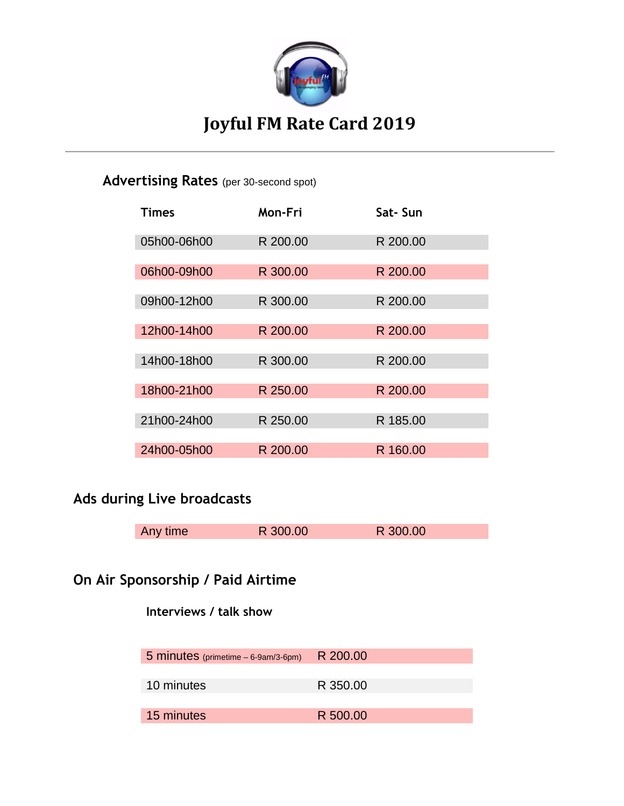

# **Joyful FM Rate Card 2019**

### **Advertising Rates** (per 30-second spot)

| <b>Times</b> | Mon-Fri  | Sat-Sun  |
|--------------|----------|----------|
| 05h00-06h00  | R 200.00 | R 200.00 |
| 06h00-09h00  | R 300.00 | R 200.00 |
| 09h00-12h00  | R 300.00 | R 200.00 |
| 12h00-14h00  | R 200.00 | R 200.00 |
| 14h00-18h00  | R 300.00 | R 200.00 |
| 18h00-21h00  | R 250.00 | R 200.00 |
| 21h00-24h00  | R 250.00 | R 185.00 |
| 24h00-05h00  | R 200.00 | R 160.00 |

### **Ads during Live broadcasts**

| Any time | R 300.00 | R 300.00 |  |
|----------|----------|----------|--|

### **On Air Sponsorship / Paid Airtime**

#### **Interviews / talk show**

| 5 minutes (primetime - 6-9am/3-6pm) | R 200.00 |
|-------------------------------------|----------|
| 10 minutes                          | R 350.00 |
|                                     |          |
| 15 minutes                          | R 500.00 |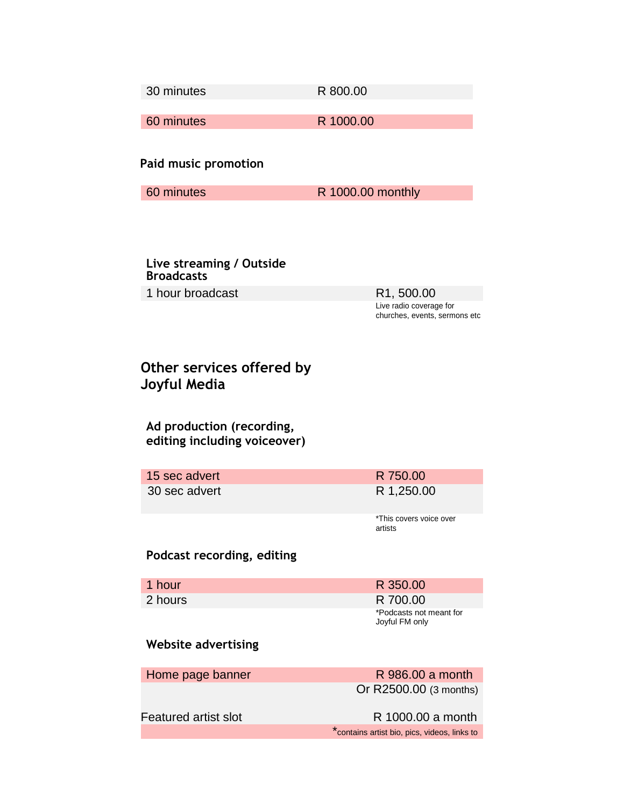30 minutes R 800.00

60 minutes R 1000.00

**Paid music promotion**

60 minutes R 1000.00 monthly

**Live streaming / Outside Broadcasts** 1 hour broadcast R1, 500.00

Live radio coverage for churches, events, sermons etc

### **Other services offered by Joyful Media**

**Ad production (recording, editing including voiceover)**

15 sec advert R 750.00 30 sec advert R 1,250.00

\*This covers voice over artists

#### **Podcast recording, editing**

| 1 hour  | R 350.00                                  |
|---------|-------------------------------------------|
| 2 hours | R 700.00                                  |
|         | *Podcasts not meant for<br>Joyful FM only |

#### **Website advertising**

| Home page banner            | R 986.00 a month                             |
|-----------------------------|----------------------------------------------|
|                             | Or R2500.00 (3 months)                       |
| <b>Featured artist slot</b> | R 1000.00 a month                            |
|                             | *contains artist bio, pics, videos, links to |